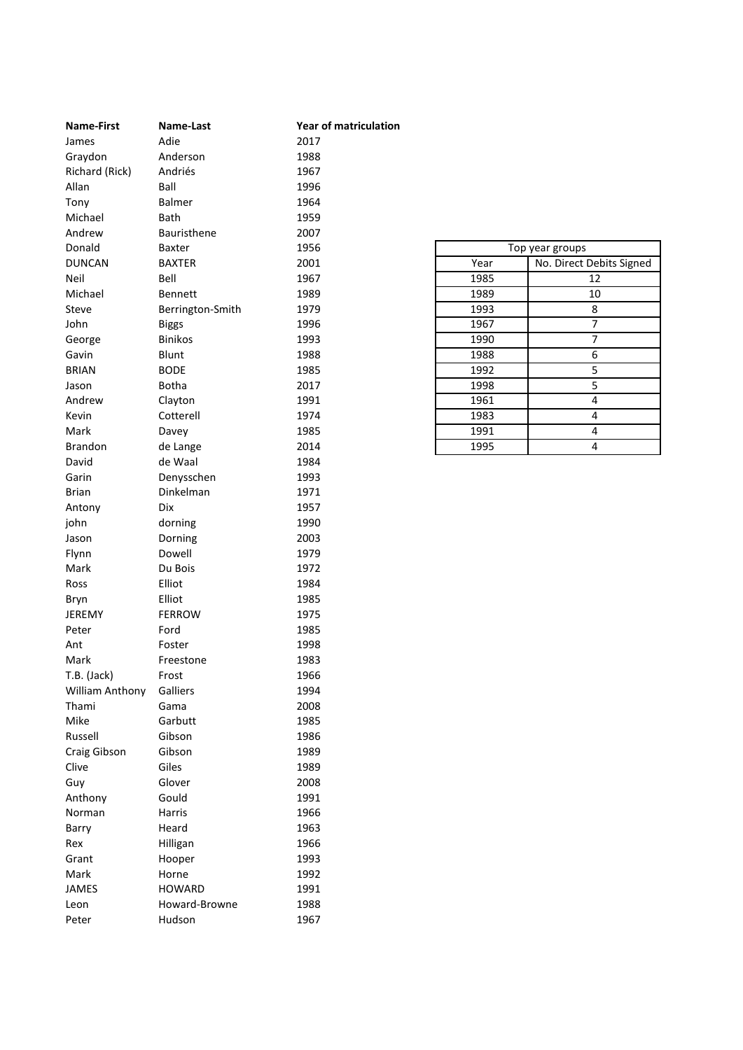| <b>Name-First</b> | Name-Last        | <b>Year of matriculation</b> |      |                          |
|-------------------|------------------|------------------------------|------|--------------------------|
| James             | Adie             | 2017                         |      |                          |
| Graydon           | Anderson         | 1988                         |      |                          |
| Richard (Rick)    | Andriés          | 1967                         |      |                          |
| Allan             | Ball             | 1996                         |      |                          |
| Tony              | Balmer           | 1964                         |      |                          |
| Michael           | Bath             | 1959                         |      |                          |
| Andrew            | Bauristhene      | 2007                         |      |                          |
| Donald            | Baxter           | 1956                         |      | Top year groups          |
| <b>DUNCAN</b>     | <b>BAXTER</b>    | 2001                         | Year | No. Direct Debits Signed |
| Neil              | Bell             | 1967                         | 1985 | 12                       |
| Michael           | <b>Bennett</b>   | 1989                         | 1989 | 10                       |
| Steve             | Berrington-Smith | 1979                         | 1993 | 8                        |
| John              | <b>Biggs</b>     | 1996                         | 1967 | $\overline{7}$           |
| George            | <b>Binikos</b>   | 1993                         | 1990 | 7                        |
| Gavin             | Blunt            | 1988                         | 1988 | 6                        |
| <b>BRIAN</b>      | <b>BODE</b>      | 1985                         | 1992 | 5                        |
| Jason             | <b>Botha</b>     | 2017                         | 1998 | $\overline{5}$           |
| Andrew            | Clayton          | 1991                         | 1961 | $\overline{4}$           |
| Kevin             | Cotterell        | 1974                         | 1983 | 4                        |
| Mark              | Davey            | 1985                         | 1991 | $\pmb{4}$                |
| Brandon           | de Lange         | 2014                         | 1995 | 4                        |
| David             | de Waal          | 1984                         |      |                          |
| Garin             | Denysschen       | 1993                         |      |                          |
| <b>Brian</b>      | Dinkelman        | 1971                         |      |                          |
| Antony            | Dix              | 1957                         |      |                          |
| john              | dorning          | 1990                         |      |                          |
| Jason             | Dorning          | 2003                         |      |                          |
| Flynn             | Dowell           | 1979                         |      |                          |
| Mark              | Du Bois          | 1972                         |      |                          |
| Ross              | Elliot           | 1984                         |      |                          |
| Bryn              | Elliot           | 1985                         |      |                          |
| JEREMY            | <b>FERROW</b>    | 1975                         |      |                          |
| Peter             | Ford             | 1985                         |      |                          |
| Ant               | Foster           | 1998                         |      |                          |
| Mark              | Freestone        | 1983                         |      |                          |
| T.B. (Jack)       | Frost            | 1966                         |      |                          |
| William Anthony   | Galliers         | 1994                         |      |                          |
| Thami             | Gama             | 2008                         |      |                          |
| Mike              | Garbutt          | 1985                         |      |                          |
| Russell           | Gibson           | 1986                         |      |                          |
| Craig Gibson      | Gibson           | 1989                         |      |                          |
| Clive             | Giles            | 1989                         |      |                          |
| Guy               | Glover           | 2008                         |      |                          |
| Anthony           | Gould            | 1991                         |      |                          |
| Norman            | Harris           | 1966                         |      |                          |
| Barry             | Heard            | 1963                         |      |                          |
| Rex               | Hilligan         | 1966                         |      |                          |
|                   |                  | 1993                         |      |                          |
| Grant             | Hooper           |                              |      |                          |
| Mark              | Horne            | 1992                         |      |                          |
| JAMES             | <b>HOWARD</b>    | 1991                         |      |                          |
| Leon              | Howard-Browne    | 1988                         |      |                          |
| Peter             | Hudson           | 1967                         |      |                          |

| Top year groups |                          |  |  |  |
|-----------------|--------------------------|--|--|--|
| Year            | No. Direct Debits Signed |  |  |  |
| 1985            | 12                       |  |  |  |
| 1989            | 10                       |  |  |  |
| 1993            | 8                        |  |  |  |
| 1967            | 7                        |  |  |  |
| 1990            | 7                        |  |  |  |
| 1988            | 6                        |  |  |  |
| 1992            | 5                        |  |  |  |
| 1998            | 5                        |  |  |  |
| 1961            | 4                        |  |  |  |
| 1983            | 4                        |  |  |  |
| 1991            | 4                        |  |  |  |
| 1995            | 4                        |  |  |  |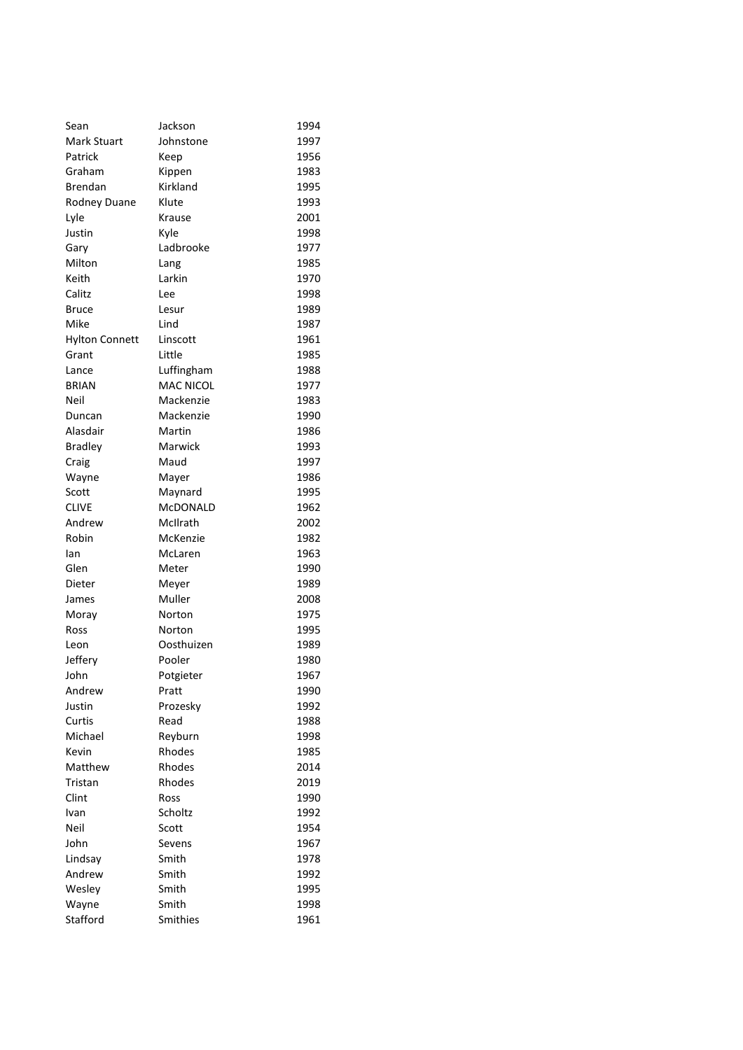| Sean                  | Jackson          | 1994 |
|-----------------------|------------------|------|
| Mark Stuart           | Johnstone        | 1997 |
| Patrick               | Keep             | 1956 |
| Graham                | Kippen           | 1983 |
| <b>Brendan</b>        | Kirkland         | 1995 |
| <b>Rodney Duane</b>   | Klute            | 1993 |
| Lyle                  | Krause           | 2001 |
| Justin                | Kyle             | 1998 |
| Gary                  | Ladbrooke        | 1977 |
| Milton                | Lang             | 1985 |
| Keith                 | Larkin           | 1970 |
| Calitz                | Lee              | 1998 |
| Bruce                 | Lesur            | 1989 |
| Mike                  | Lind             | 1987 |
| <b>Hylton Connett</b> | Linscott         | 1961 |
| Grant                 | Little           | 1985 |
| Lance                 | Luffingham       | 1988 |
| <b>BRIAN</b>          | <b>MAC NICOL</b> | 1977 |
| Neil                  | Mackenzie        | 1983 |
| Duncan                | Mackenzie        | 1990 |
| Alasdair              | Martin           | 1986 |
| <b>Bradley</b>        | Marwick          | 1993 |
| Craig                 | Maud             | 1997 |
| Wayne                 | Mayer            | 1986 |
| Scott                 | Maynard          | 1995 |
| <b>CLIVE</b>          | McDONALD         | 1962 |
| Andrew                | McIlrath         | 2002 |
| Robin                 | McKenzie         | 1982 |
| lan                   | McLaren          | 1963 |
| Glen                  | Meter            | 1990 |
| Dieter                | Meyer            | 1989 |
| James                 | Muller           | 2008 |
| Moray                 | Norton           | 1975 |
| Ross                  | Norton           | 1995 |
| Leon                  | Oosthuizen       | 1989 |
| Jeffery               | Pooler           | 1980 |
| John                  | Potgieter        | 1967 |
| Andrew                | Pratt            | 1990 |
| Justin                | Prozesky         | 1992 |
| Curtis                | Read             | 1988 |
| Michael               | Reyburn          | 1998 |
| Kevin                 | Rhodes           | 1985 |
| Matthew               | Rhodes           | 2014 |
| Tristan               | Rhodes           | 2019 |
| Clint                 | Ross             | 1990 |
| Ivan                  | Scholtz          | 1992 |
| Neil                  | Scott            | 1954 |
| John                  | Sevens           | 1967 |
| Lindsay               | Smith            | 1978 |
| Andrew                | Smith            | 1992 |
| Wesley                | Smith            | 1995 |
| Wayne                 | Smith            | 1998 |
| Stafford              | Smithies         | 1961 |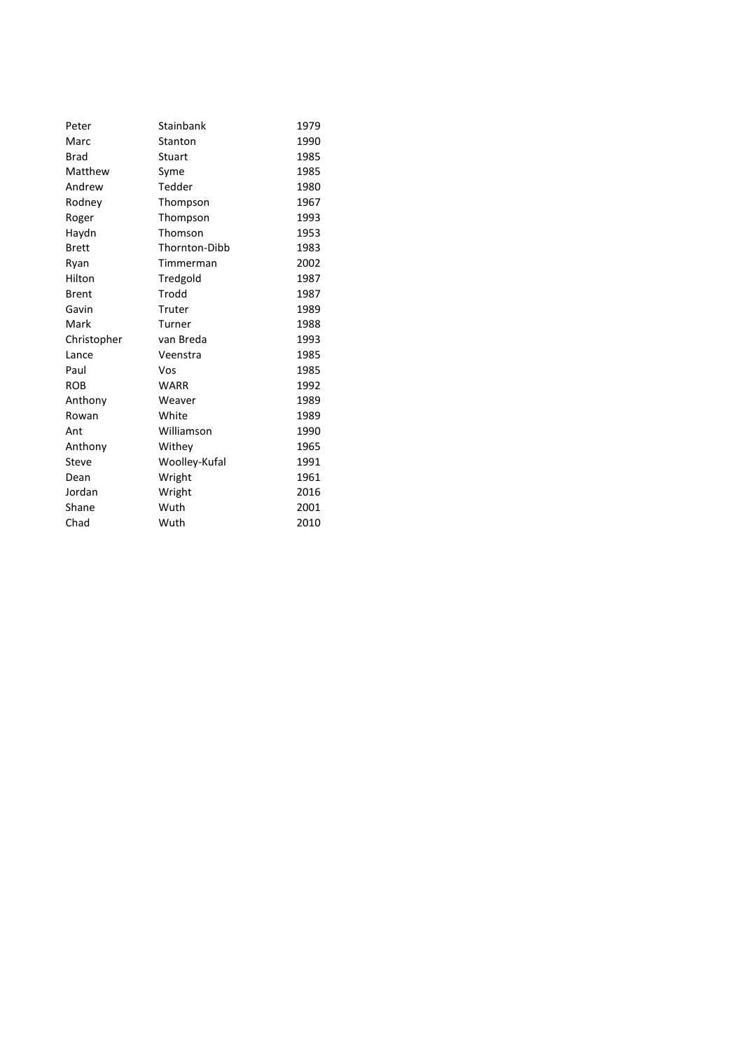| Peter        | Stainbank     | 1979 |
|--------------|---------------|------|
| Marc         | Stanton       | 1990 |
| <b>Brad</b>  | Stuart        | 1985 |
| Matthew      | Syme          | 1985 |
| Andrew       | Tedder        | 1980 |
| Rodney       | Thompson      | 1967 |
| Roger        | Thompson      | 1993 |
| Haydn        | Thomson       | 1953 |
| <b>Brett</b> | Thornton-Dibb | 1983 |
| Ryan         | Timmerman     | 2002 |
| Hilton       | Tredgold      | 1987 |
| <b>Brent</b> | Trodd         | 1987 |
| Gavin        | Truter        | 1989 |
| Mark         | Turner        | 1988 |
| Christopher  | van Breda     | 1993 |
| Lance        | Veenstra      | 1985 |
| Paul         | Vos           | 1985 |
| <b>ROB</b>   | <b>WARR</b>   | 1992 |
| Anthony      | Weaver        | 1989 |
| Rowan        | White         | 1989 |
| Ant          | Williamson    | 1990 |
| Anthony      | Withey        | 1965 |
| Steve        | Woolley-Kufal | 1991 |
| Dean         | Wright        | 1961 |
| Jordan       | Wright        | 2016 |
| Shane        | Wuth          | 2001 |
| Chad         | Wuth          | 2010 |
|              |               |      |